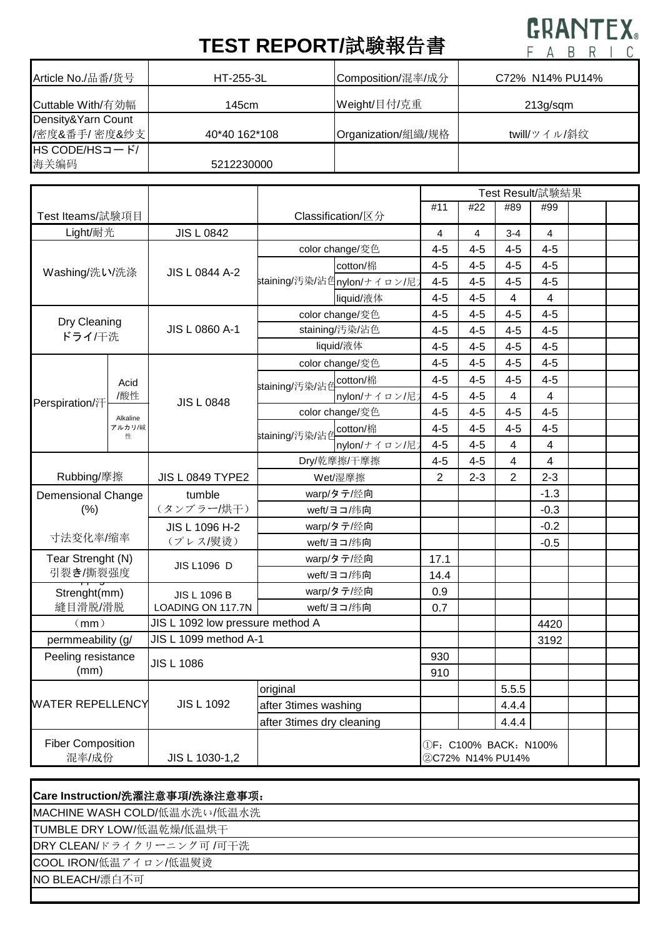## **TEST REPORT/**試験報告書

## **GRANTEX**  $F \triangle R R | T$

| Article No./品番/货号      | $HT-255-3L$   | Composition/混率/成分  | C72% N14% PU14% |  |  |  |
|------------------------|---------------|--------------------|-----------------|--|--|--|
| Cuttable With/有効幅      | 145cm         | Weight/目付/克重       | 213g/sgm        |  |  |  |
| Density&Yarn Count     |               |                    |                 |  |  |  |
| /密度&番手/密度&纱支           | 40*40 162*108 | Organization/組織/规格 | twill/ツイル/斜纹    |  |  |  |
| $HS$ CODE/HS $=$ $-K/$ |               |                    |                 |  |  |  |
| 海关编码                   | 5212230000    |                    |                 |  |  |  |

|                                            |                         |                         |                           |                             | Test Result/試験結果                        |         |                         |         |  |  |
|--------------------------------------------|-------------------------|-------------------------|---------------------------|-----------------------------|-----------------------------------------|---------|-------------------------|---------|--|--|
| Test Iteams/試験項目                           |                         |                         | Classification/区分         |                             | #11                                     | #22     | #89                     | #99     |  |  |
| Light/耐光                                   |                         | <b>JIS L 0842</b>       |                           |                             | 4                                       | 4       | $3 - 4$                 | 4       |  |  |
| Washing/洗い/洗涤                              |                         |                         | color change/変色           |                             | $4 - 5$                                 | $4 - 5$ | $4 - 5$                 | $4 - 5$ |  |  |
|                                            |                         | <b>JIS L 0844 A-2</b>   | cotton/棉                  |                             | $4 - 5$                                 | $4 - 5$ | $4 - 5$                 | $4 - 5$ |  |  |
|                                            |                         |                         |                           | staining/汚染/沾色nylon/ナイロン/尼; | $4 - 5$                                 | $4 - 5$ | $4 - 5$                 | $4 - 5$ |  |  |
|                                            |                         |                         |                           | liquid/液体                   | $4 - 5$                                 | 4-5     | 4                       | 4       |  |  |
| Dry Cleaning<br>ドライ/干洗                     |                         |                         | color change/変色           |                             | $4 - 5$                                 | $4 - 5$ | $4 - 5$                 | $4 - 5$ |  |  |
|                                            |                         | JIS L 0860 A-1          | staining/汚染/沾色            |                             | $4 - 5$                                 | $4 - 5$ | $4 - 5$                 | $4 - 5$ |  |  |
|                                            |                         |                         | liquid/液体                 |                             | $4 - 5$                                 | $4 - 5$ | $4 - 5$                 | $4-5$   |  |  |
| Perspiration/汗                             | Acid                    | <b>JIS L 0848</b>       |                           | color change/変色             | $4 - 5$                                 | $4 - 5$ | $4 - 5$                 | $4 - 5$ |  |  |
|                                            |                         |                         |                           | cotton/棉                    | $4 - 5$                                 | $4 - 5$ | $4 - 5$                 | $4 - 5$ |  |  |
|                                            | /酸性                     |                         | staining/汚染/沾色            | nylon/ナイロン/尼7               | $4 - 5$                                 | $4 - 5$ | $\overline{\mathbf{4}}$ | 4       |  |  |
|                                            | Alkaline<br>アルカリ/碱<br>性 |                         |                           | color change/変色             | $4 - 5$                                 | $4 - 5$ | $4 - 5$                 | $4 - 5$ |  |  |
|                                            |                         |                         | staining/汚染/沾色            | cotton/棉                    | $4 - 5$                                 | $4 - 5$ | $4 - 5$                 | $4 - 5$ |  |  |
|                                            |                         |                         |                           | nylon/ナイロン/尼)               | $4 - 5$                                 | $4 - 5$ | 4                       | 4       |  |  |
|                                            |                         |                         |                           | Dry/乾摩擦/干摩擦                 | $4 - 5$                                 | 4-5     | $\overline{\mathbf{4}}$ | 4       |  |  |
| Rubbing/摩擦                                 |                         | <b>JIS L 0849 TYPE2</b> | Wet/湿摩擦                   |                             | $\overline{2}$                          | $2 - 3$ | $\overline{2}$          | $2 - 3$ |  |  |
| <b>Demensional Change</b><br>(% )          |                         | tumble                  | warp/タテ/经向<br>weft/ヨコ/纬向  |                             |                                         |         |                         | $-1.3$  |  |  |
|                                            |                         | (タンブラー/烘干)              |                           |                             |                                         |         |                         | $-0.3$  |  |  |
| 寸法变化率/缩率                                   |                         | JIS L 1096 H-2          | warp/タテ/经向<br>weft/ヨコ/纬向  |                             |                                         |         |                         | $-0.2$  |  |  |
|                                            |                         | (プレス/熨烫)                |                           |                             |                                         |         |                         | $-0.5$  |  |  |
| Tear Strenght (N)<br>引裂き/撕裂强度              |                         | JIS L1096 D             | warp/タテ/经向                |                             | 17.1                                    |         |                         |         |  |  |
|                                            |                         |                         | weft/ヨコ/纬向                |                             | 14.4                                    |         |                         |         |  |  |
| Strenght(mm)<br>縫目滑脱/滑脱                    |                         | JIS L 1096 B            | warp/タテ/经向                |                             | 0.9                                     |         |                         |         |  |  |
|                                            |                         | LOADING ON 117.7N       | weft/ヨコ/纬向                |                             | 0.7                                     |         |                         |         |  |  |
| JIS L 1092 low pressure method A<br>(mm)   |                         |                         |                           |                             |                                         |         | 4420                    |         |  |  |
| JIS L 1099 method A-1<br>permmeability (g/ |                         |                         |                           |                             |                                         |         | 3192                    |         |  |  |
| Peeling resistance<br>(mm)                 |                         | <b>JIS L 1086</b>       |                           | 930                         |                                         |         |                         |         |  |  |
|                                            |                         |                         |                           | 910                         |                                         |         |                         |         |  |  |
| <b>WATER REPELLENCY</b>                    |                         |                         | original                  |                             |                                         |         | 5.5.5                   |         |  |  |
|                                            |                         | <b>JIS L 1092</b>       | after 3times washing      |                             |                                         |         | 4.4.4                   |         |  |  |
|                                            |                         |                         | after 3times dry cleaning |                             |                                         |         | 4.4.4                   |         |  |  |
| <b>Fiber Composition</b><br>混率/成份          |                         | JIS L 1030-1,2          |                           |                             | ①F:C100% BACK:N100%<br>2C72% N14% PU14% |         |                         |         |  |  |

## **Care Instruction/**洗濯注意事項**/**洗涤注意事项:

MACHINE WASH COLD/低温水洗い/低温水洗

TUMBLE DRY LOW/低温乾燥/低温烘干

DRY CLEAN/ドライクリーニング可 /可干洗

COOL IRON/低温アイロン/低温熨烫

NO BLEACH/漂白不可